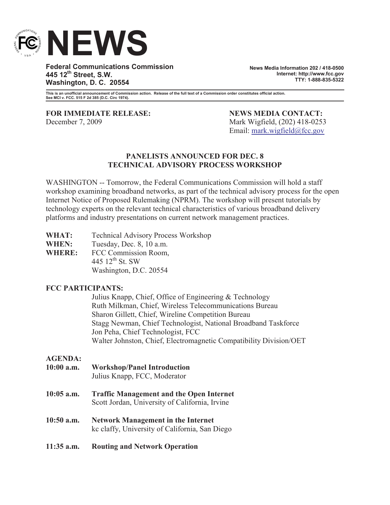

**Federal Communications Commission 445 12th Street, S.W. Washington, D. C. 20554**

**News Media Information 202 / 418-0500 Internet: http://www.fcc.gov TTY: 1-888-835-5322**

**This is an unofficial announcement of Commission action. Release of the full text of a Commission order constitutes official action. See MCI v. FCC. 515 F 2d 385 (D.C. Circ 1974).**

**FOR IMMEDIATE RELEASE: NEWS MEDIA CONTACT:** December 7, 2009 Mark Wigfield, (202) 418-0253

Email: mark.wigfield@fcc.gov

## **PANELISTS ANNOUNCED FOR DEC. 8 TECHNICAL ADVISORY PROCESS WORKSHOP**

WASHINGTON -- Tomorrow, the Federal Communications Commission will hold a staff workshop examining broadband networks, as part of the technical advisory process for the open Internet Notice of Proposed Rulemaking (NPRM). The workshop will present tutorials by technology experts on the relevant technical characteristics of various broadband delivery platforms and industry presentations on current network management practices.

| WHAT:         | <b>Technical Advisory Process Workshop</b> |
|---------------|--------------------------------------------|
| <b>WHEN:</b>  | Tuesday, Dec. 8, 10 a.m.                   |
| <b>WHERE:</b> | FCC Commission Room,                       |
|               | 445 $12^{th}$ St. SW                       |
|               | Washington, D.C. 20554                     |

## **FCC PARTICIPANTS:**

Julius Knapp, Chief, Office of Engineering & Technology Ruth Milkman, Chief, Wireless Telecommunications Bureau Sharon Gillett, Chief, Wireline Competition Bureau Stagg Newman, Chief Technologist, National Broadband Taskforce Jon Peha, Chief Technologist, FCC Walter Johnston, Chief, Electromagnetic Compatibility Division/OET

## **AGENDA:**

- **10:00 a.m. Workshop/Panel Introduction**
	- Julius Knapp, FCC, Moderator
- **10:05 a.m. Traffic Management and the Open Internet** Scott Jordan, University of California, Irvine
- **10:50 a.m. Network Management in the Internet** kc claffy, University of California, San Diego
- **11:35 a.m. Routing and Network Operation**